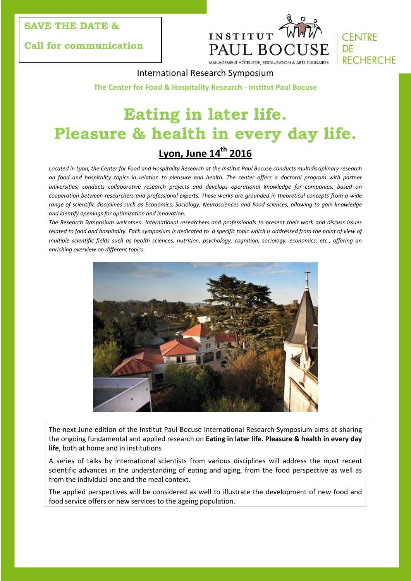### **SAVE THE DATE &**

**Call for communication**





International Research Symposium

**The Center for Food & Hospitality Research - Institut Paul Bocuse**

# **Eating in later life. Pleasure & health in every day life. Lyon, June 14th 2016**

*Located in Lyon, the Center for Food and Hospitality Research at the Institut Paul Bocuse conducts multidisciplinary research on food and hospitality topics in relation to pleasure and health. The center offers a doctoral program with partner universities; conducts collaborative research projects and develops operational knowledge for companies, based on cooperation between researchers and professional experts. These works are grounded in theoretical concepts from a wide range of scientific disciplines such as Economics, Sociology, Neurosciences and Food sciences, allowing to gain knowledge and identify openings for optimization and innovation.*

*The Research Symposium welcomes international researchers and professionals to present their work and discuss issues*  related to food and hospitality. Each symposium is dedicated to a specific topic which is addressed from the point of view of *multiple scientific fields such as health sciences, nutrition, psychology, cognition, sociology, economics, etc., offering an enriching overview on different topics.*



The next June edition of the Institut Paul Bocuse International Research Symposium aims at sharing the ongoing fundamental and applied research on **Eating in later life. Pleasure & health in every day life**, both at home and in institutions

A series of talks by international scientists from various disciplines will address the most recent scientific advances in the understanding of eating and aging, from the food perspective as well as from the individual one and the meal context.

The applied perspectives will be considered as well to illustrate the development of new food and food service offers or new services to the ageing population.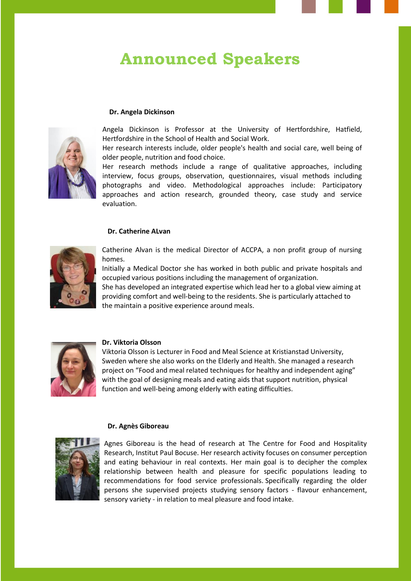## **Announced Speakers**

#### **Dr. Angela Dickinson**



Angela Dickinson is Professor at the University of Hertfordshire, Hatfield, Hertfordshire in the School of Health and Social Work.

Her research interests include, older people's health and social care, well being of older people, nutrition and food choice.

Her research methods include a range of qualitative approaches, including interview, focus groups, observation, questionnaires, visual methods including photographs and video. Methodological approaches include: Participatory approaches and action research, grounded theory, case study and service evaluation.

#### **Dr. Catherine ALvan**



Catherine Alvan is the medical Director of ACCPA, a non profit group of nursing homes.

Initially a Medical Doctor she has worked in both public and private hospitals and occupied various positions including the management of organization.

She has developed an integrated expertise which lead her to a global view aiming at providing comfort and well-being to the residents. She is particularly attached to the maintain a positive experience around meals.



#### **Dr. Viktoria Olsson**

Viktoria Olsson is Lecturer in Food and Meal Science at Kristianstad University, Sweden where she also works on the Elderly and Health. She managed a research project on "Food and meal related techniques for healthy and independent aging" with the goal of designing meals and eating aids that support nutrition, physical function and well-being among elderly with eating difficulties.

#### **Dr. Agnès Giboreau**



Agnes Giboreau is the head of research at The Centre for Food and Hospitality Research, Institut Paul Bocuse. Her research activity focuses on consumer perception and eating behaviour in real contexts. Her main goal is to decipher the complex relationship between health and pleasure for specific populations leading to recommendations for food service professionals. Specifically regarding the older persons she supervised projects studying sensory factors - flavour enhancement, sensory variety - in relation to meal pleasure and food intake.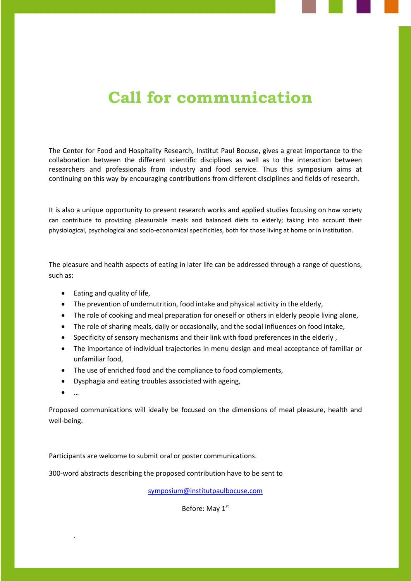# **Call for communication**

The Center for Food and Hospitality Research, Institut Paul Bocuse, gives a great importance to the collaboration between the different scientific disciplines as well as to the interaction between researchers and professionals from industry and food service. Thus this symposium aims at continuing on this way by encouraging contributions from different disciplines and fields of research.

It is also a unique opportunity to present research works and applied studies focusing on how society can contribute to providing pleasurable meals and balanced diets to elderly; taking into account their physiological, psychological and socio-economical specificities, both for those living at home or in institution.

The pleasure and health aspects of eating in later life can be addressed through a range of questions, such as:

- Eating and quality of life,
- The prevention of undernutrition, food intake and physical activity in the elderly,
- The role of cooking and meal preparation for oneself or others in elderly people living alone,
- The role of sharing meals, daily or occasionally, and the social influences on food intake,
- Specificity of sensory mechanisms and their link with food preferences in the elderly,
- The importance of individual trajectories in menu design and meal acceptance of familiar or unfamiliar food,
- The use of enriched food and the compliance to food complements,
- Dysphagia and eating troubles associated with ageing,
- …

.

Proposed communications will ideally be focused on the dimensions of meal pleasure, health and well-being.

Participants are welcome to submit oral or poster communications.

300-word abstracts describing the proposed contribution have to be sent to

[symposium@institutpaulbocuse.com](mailto:symposium@institutpaulbocuse.com)

Before: May 1<sup>st</sup>